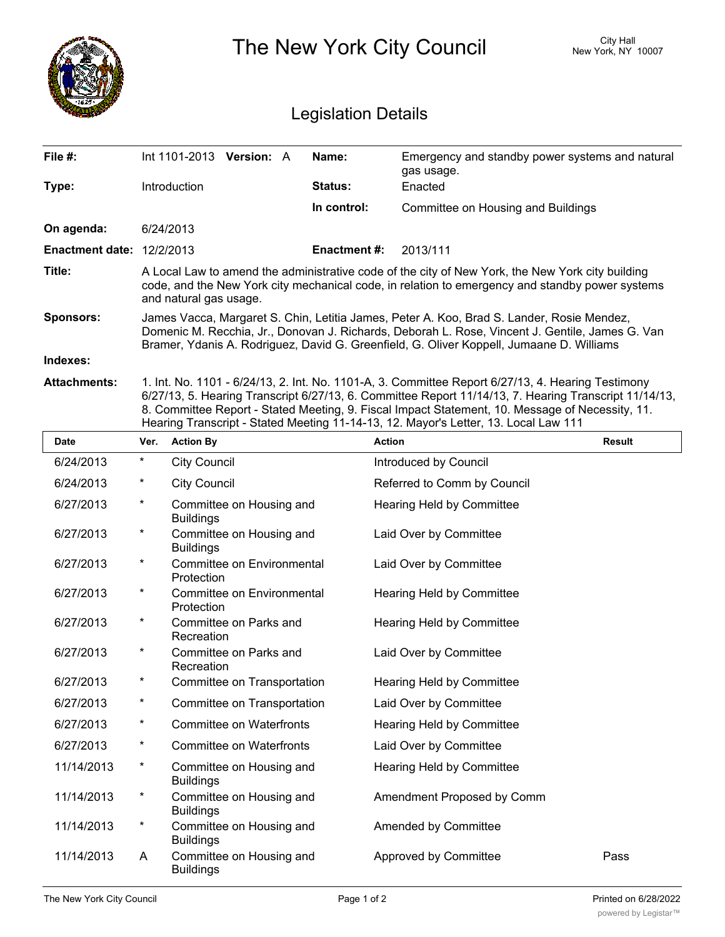|                                  |                                                                                                                                                                                                                                                                                          |                                              |                    | The New York City Council                                                                                                                                                                                                                                                                                                                                                                            | City Hall<br>New York, NY 10007 |  |  |
|----------------------------------|------------------------------------------------------------------------------------------------------------------------------------------------------------------------------------------------------------------------------------------------------------------------------------------|----------------------------------------------|--------------------|------------------------------------------------------------------------------------------------------------------------------------------------------------------------------------------------------------------------------------------------------------------------------------------------------------------------------------------------------------------------------------------------------|---------------------------------|--|--|
| <b>Legislation Details</b>       |                                                                                                                                                                                                                                                                                          |                                              |                    |                                                                                                                                                                                                                                                                                                                                                                                                      |                                 |  |  |
| File #:                          |                                                                                                                                                                                                                                                                                          | Int 1101-2013 Version: A                     | Name:              | Emergency and standby power systems and natural<br>gas usage.                                                                                                                                                                                                                                                                                                                                        |                                 |  |  |
| Type:                            |                                                                                                                                                                                                                                                                                          | Introduction                                 | <b>Status:</b>     | Enacted                                                                                                                                                                                                                                                                                                                                                                                              |                                 |  |  |
|                                  |                                                                                                                                                                                                                                                                                          |                                              | In control:        | <b>Committee on Housing and Buildings</b>                                                                                                                                                                                                                                                                                                                                                            |                                 |  |  |
| On agenda:                       |                                                                                                                                                                                                                                                                                          | 6/24/2013                                    |                    |                                                                                                                                                                                                                                                                                                                                                                                                      |                                 |  |  |
| <b>Enactment date: 12/2/2013</b> |                                                                                                                                                                                                                                                                                          |                                              | <b>Enactment#:</b> | 2013/111                                                                                                                                                                                                                                                                                                                                                                                             |                                 |  |  |
| Title:                           | A Local Law to amend the administrative code of the city of New York, the New York city building<br>code, and the New York city mechanical code, in relation to emergency and standby power systems<br>and natural gas usage.                                                            |                                              |                    |                                                                                                                                                                                                                                                                                                                                                                                                      |                                 |  |  |
| Sponsors:                        | James Vacca, Margaret S. Chin, Letitia James, Peter A. Koo, Brad S. Lander, Rosie Mendez,<br>Domenic M. Recchia, Jr., Donovan J. Richards, Deborah L. Rose, Vincent J. Gentile, James G. Van<br>Bramer, Ydanis A. Rodriguez, David G. Greenfield, G. Oliver Koppell, Jumaane D. Williams |                                              |                    |                                                                                                                                                                                                                                                                                                                                                                                                      |                                 |  |  |
| Indexes:                         |                                                                                                                                                                                                                                                                                          |                                              |                    |                                                                                                                                                                                                                                                                                                                                                                                                      |                                 |  |  |
| <b>Attachments:</b>              |                                                                                                                                                                                                                                                                                          |                                              |                    | 1. Int. No. 1101 - 6/24/13, 2. Int. No. 1101-A, 3. Committee Report 6/27/13, 4. Hearing Testimony<br>6/27/13, 5. Hearing Transcript 6/27/13, 6. Committee Report 11/14/13, 7. Hearing Transcript 11/14/13,<br>8. Committee Report - Stated Meeting, 9. Fiscal Impact Statement, 10. Message of Necessity, 11.<br>Hearing Transcript - Stated Meeting 11-14-13, 12. Mayor's Letter, 13. Local Law 111 |                                 |  |  |
| <b>Date</b>                      | Ver.                                                                                                                                                                                                                                                                                     | <b>Action By</b>                             |                    | <b>Action</b>                                                                                                                                                                                                                                                                                                                                                                                        | <b>Result</b>                   |  |  |
| 6/24/2013                        | *                                                                                                                                                                                                                                                                                        | <b>City Council</b>                          |                    | Introduced by Council                                                                                                                                                                                                                                                                                                                                                                                |                                 |  |  |
| 6/24/2013                        | *                                                                                                                                                                                                                                                                                        | <b>City Council</b>                          |                    | Referred to Comm by Council                                                                                                                                                                                                                                                                                                                                                                          |                                 |  |  |
| 6/27/2013                        | *                                                                                                                                                                                                                                                                                        | Committee on Housing and<br><b>Buildings</b> |                    | <b>Hearing Held by Committee</b>                                                                                                                                                                                                                                                                                                                                                                     |                                 |  |  |
| 6/27/2013                        | *                                                                                                                                                                                                                                                                                        | Committee on Housing and<br><b>Buildings</b> |                    | Laid Over by Committee                                                                                                                                                                                                                                                                                                                                                                               |                                 |  |  |
| 6/27/2013                        | *                                                                                                                                                                                                                                                                                        | Committee on Environmental<br>Protection     |                    | Laid Over by Committee                                                                                                                                                                                                                                                                                                                                                                               |                                 |  |  |
| 6/27/2013                        | *                                                                                                                                                                                                                                                                                        | Committee on Environmental<br>Protection     |                    | <b>Hearing Held by Committee</b>                                                                                                                                                                                                                                                                                                                                                                     |                                 |  |  |
| 6/27/2013                        | *                                                                                                                                                                                                                                                                                        | Committee on Parks and<br>Recreation         |                    | Hearing Held by Committee                                                                                                                                                                                                                                                                                                                                                                            |                                 |  |  |
| 6/27/2013                        | *                                                                                                                                                                                                                                                                                        | Committee on Parks and<br>Recreation         |                    | Laid Over by Committee                                                                                                                                                                                                                                                                                                                                                                               |                                 |  |  |
| 6/27/2013                        | *                                                                                                                                                                                                                                                                                        | Committee on Transportation                  |                    | Hearing Held by Committee                                                                                                                                                                                                                                                                                                                                                                            |                                 |  |  |
| 6/27/2013                        | $^\star$                                                                                                                                                                                                                                                                                 | Committee on Transportation                  |                    | Laid Over by Committee                                                                                                                                                                                                                                                                                                                                                                               |                                 |  |  |
| 6/27/2013                        | *                                                                                                                                                                                                                                                                                        | <b>Committee on Waterfronts</b>              |                    | Hearing Held by Committee                                                                                                                                                                                                                                                                                                                                                                            |                                 |  |  |
| 6/27/2013                        | *                                                                                                                                                                                                                                                                                        | <b>Committee on Waterfronts</b>              |                    | Laid Over by Committee                                                                                                                                                                                                                                                                                                                                                                               |                                 |  |  |
| 11/14/2013                       | *                                                                                                                                                                                                                                                                                        | Committee on Housing and<br><b>Buildings</b> |                    | Hearing Held by Committee                                                                                                                                                                                                                                                                                                                                                                            |                                 |  |  |
| 11/14/2013                       | *                                                                                                                                                                                                                                                                                        | Committee on Housing and<br><b>Buildings</b> |                    | Amendment Proposed by Comm                                                                                                                                                                                                                                                                                                                                                                           |                                 |  |  |
| 11/14/2013                       | $^\star$                                                                                                                                                                                                                                                                                 | Committee on Housing and<br><b>Buildings</b> |                    | Amended by Committee                                                                                                                                                                                                                                                                                                                                                                                 |                                 |  |  |
| 11/14/2013                       | A                                                                                                                                                                                                                                                                                        | Committee on Housing and                     |                    | Approved by Committee                                                                                                                                                                                                                                                                                                                                                                                | Pass                            |  |  |

Buildings